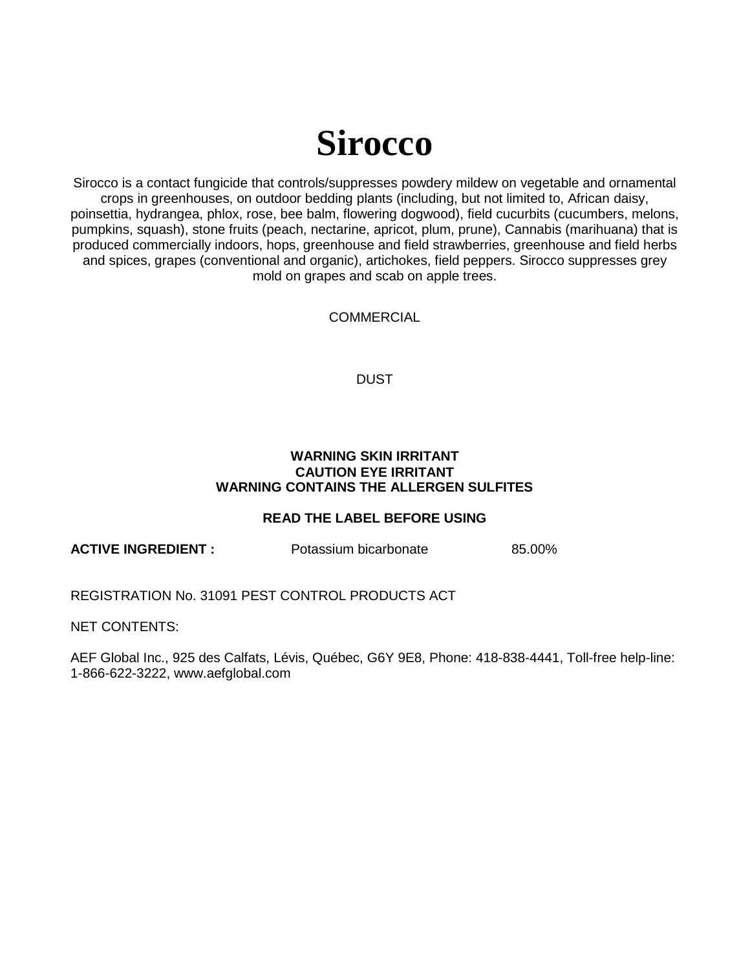# **Sirocco**

Sirocco is a contact fungicide that controls/suppresses powdery mildew on vegetable and ornamental crops in greenhouses, on outdoor bedding plants (including, but not limited to, African daisy, poinsettia, hydrangea, phlox, rose, bee balm, flowering dogwood), field cucurbits (cucumbers, melons, pumpkins, squash), stone fruits (peach, nectarine, apricot, plum, prune), Cannabis (marihuana) that is produced commercially indoors, hops, greenhouse and field strawberries, greenhouse and field herbs and spices, grapes (conventional and organic), artichokes, field peppers. Sirocco suppresses grey mold on grapes and scab on apple trees.

**COMMERCIAL** 

DUST

#### **WARNING SKIN IRRITANT CAUTION EYE IRRITANT WARNING CONTAINS THE ALLERGEN SULFITES**

## **READ THE LABEL BEFORE USING**

**ACTIVE INGREDIENT :** Potassium bicarbonate 85.00%

REGISTRATION No. 31091 PEST CONTROL PRODUCTS ACT

NET CONTENTS:

AEF Global Inc., 925 des Calfats, Lévis, Québec, G6Y 9E8, Phone: 418-838-4441, Toll-free help-line: 1-866-622-3222, www.aefglobal.com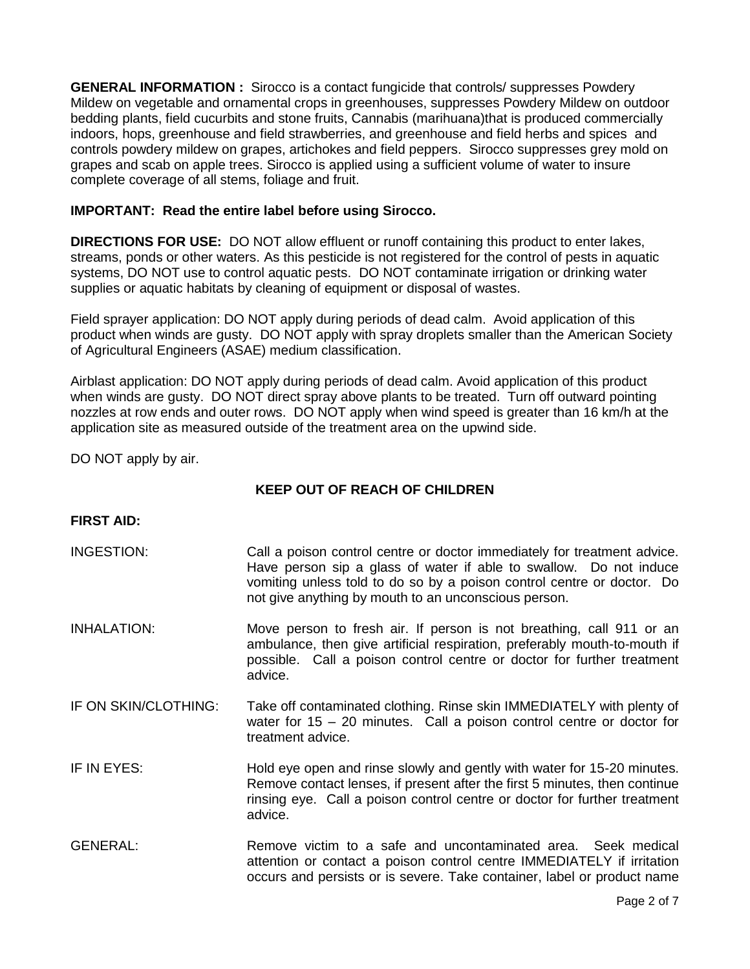**GENERAL INFORMATION :** Sirocco is a contact fungicide that controls/ suppresses Powdery Mildew on vegetable and ornamental crops in greenhouses, suppresses Powdery Mildew on outdoor bedding plants, field cucurbits and stone fruits, Cannabis (marihuana)that is produced commercially indoors, hops, greenhouse and field strawberries, and greenhouse and field herbs and spices and controls powdery mildew on grapes, artichokes and field peppers. Sirocco suppresses grey mold on grapes and scab on apple trees. Sirocco is applied using a sufficient volume of water to insure complete coverage of all stems, foliage and fruit.

#### **IMPORTANT: Read the entire label before using Sirocco.**

**DIRECTIONS FOR USE:** DO NOT allow effluent or runoff containing this product to enter lakes, streams, ponds or other waters. As this pesticide is not registered for the control of pests in aquatic systems, DO NOT use to control aquatic pests. DO NOT contaminate irrigation or drinking water supplies or aquatic habitats by cleaning of equipment or disposal of wastes.

Field sprayer application: DO NOT apply during periods of dead calm. Avoid application of this product when winds are gusty. DO NOT apply with spray droplets smaller than the American Society of Agricultural Engineers (ASAE) medium classification.

Airblast application: DO NOT apply during periods of dead calm. Avoid application of this product when winds are gusty. DO NOT direct spray above plants to be treated. Turn off outward pointing nozzles at row ends and outer rows. DO NOT apply when wind speed is greater than 16 km/h at the application site as measured outside of the treatment area on the upwind side.

DO NOT apply by air.

## **KEEP OUT OF REACH OF CHILDREN**

#### **FIRST AID:**

- INGESTION: Call a poison control centre or doctor immediately for treatment advice. Have person sip a glass of water if able to swallow. Do not induce vomiting unless told to do so by a poison control centre or doctor. Do not give anything by mouth to an unconscious person.
- INHALATION: Move person to fresh air. If person is not breathing, call 911 or an ambulance, then give artificial respiration, preferably mouth-to-mouth if possible. Call a poison control centre or doctor for further treatment advice.
- IF ON SKIN/CLOTHING: Take off contaminated clothing. Rinse skin IMMEDIATELY with plenty of water for 15 – 20 minutes. Call a poison control centre or doctor for treatment advice.
- IF IN EYES: Hold eye open and rinse slowly and gently with water for 15-20 minutes. Remove contact lenses, if present after the first 5 minutes, then continue rinsing eye. Call a poison control centre or doctor for further treatment advice.
- GENERAL: Remove victim to a safe and uncontaminated area. Seek medical attention or contact a poison control centre IMMEDIATELY if irritation occurs and persists or is severe. Take container, label or product name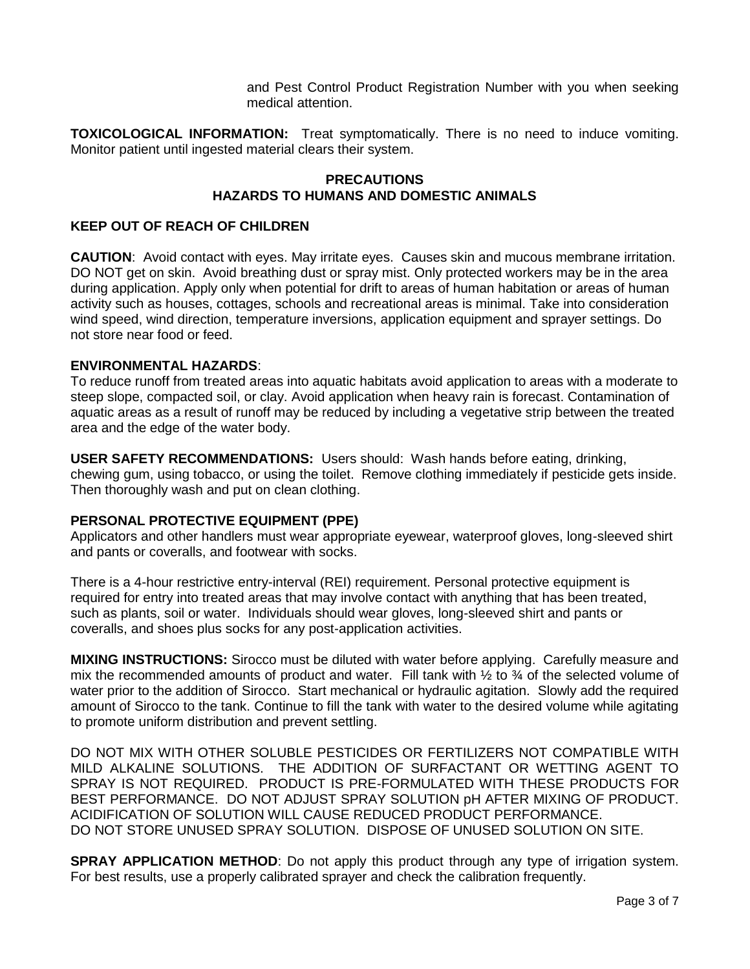and Pest Control Product Registration Number with you when seeking medical attention.

**TOXICOLOGICAL INFORMATION:** Treat symptomatically. There is no need to induce vomiting. Monitor patient until ingested material clears their system.

#### **PRECAUTIONS HAZARDS TO HUMANS AND DOMESTIC ANIMALS**

#### **KEEP OUT OF REACH OF CHILDREN**

**CAUTION**: Avoid contact with eyes. May irritate eyes. Causes skin and mucous membrane irritation. DO NOT get on skin. Avoid breathing dust or spray mist. Only protected workers may be in the area during application. Apply only when potential for drift to areas of human habitation or areas of human activity such as houses, cottages, schools and recreational areas is minimal. Take into consideration wind speed, wind direction, temperature inversions, application equipment and sprayer settings. Do not store near food or feed.

#### **ENVIRONMENTAL HAZARDS**:

To reduce runoff from treated areas into aquatic habitats avoid application to areas with a moderate to steep slope, compacted soil, or clay. Avoid application when heavy rain is forecast. Contamination of aquatic areas as a result of runoff may be reduced by including a vegetative strip between the treated area and the edge of the water body.

**USER SAFETY RECOMMENDATIONS:** Users should: Wash hands before eating, drinking, chewing gum, using tobacco, or using the toilet. Remove clothing immediately if pesticide gets inside. Then thoroughly wash and put on clean clothing.

## **PERSONAL PROTECTIVE EQUIPMENT (PPE)**

Applicators and other handlers must wear appropriate eyewear, waterproof gloves, long-sleeved shirt and pants or coveralls, and footwear with socks.

There is a 4-hour restrictive entry-interval (REI) requirement. Personal protective equipment is required for entry into treated areas that may involve contact with anything that has been treated, such as plants, soil or water. Individuals should wear gloves, long-sleeved shirt and pants or coveralls, and shoes plus socks for any post-application activities.

**MIXING INSTRUCTIONS:** Sirocco must be diluted with water before applying. Carefully measure and mix the recommended amounts of product and water. Fill tank with  $\frac{1}{2}$  to  $\frac{3}{4}$  of the selected volume of water prior to the addition of Sirocco. Start mechanical or hydraulic agitation. Slowly add the required amount of Sirocco to the tank. Continue to fill the tank with water to the desired volume while agitating to promote uniform distribution and prevent settling.

DO NOT MIX WITH OTHER SOLUBLE PESTICIDES OR FERTILIZERS NOT COMPATIBLE WITH MILD ALKALINE SOLUTIONS. THE ADDITION OF SURFACTANT OR WETTING AGENT TO SPRAY IS NOT REQUIRED. PRODUCT IS PRE-FORMULATED WITH THESE PRODUCTS FOR BEST PERFORMANCE. DO NOT ADJUST SPRAY SOLUTION pH AFTER MIXING OF PRODUCT. ACIDIFICATION OF SOLUTION WILL CAUSE REDUCED PRODUCT PERFORMANCE. DO NOT STORE UNUSED SPRAY SOLUTION. DISPOSE OF UNUSED SOLUTION ON SITE.

**SPRAY APPLICATION METHOD:** Do not apply this product through any type of irrigation system. For best results, use a properly calibrated sprayer and check the calibration frequently.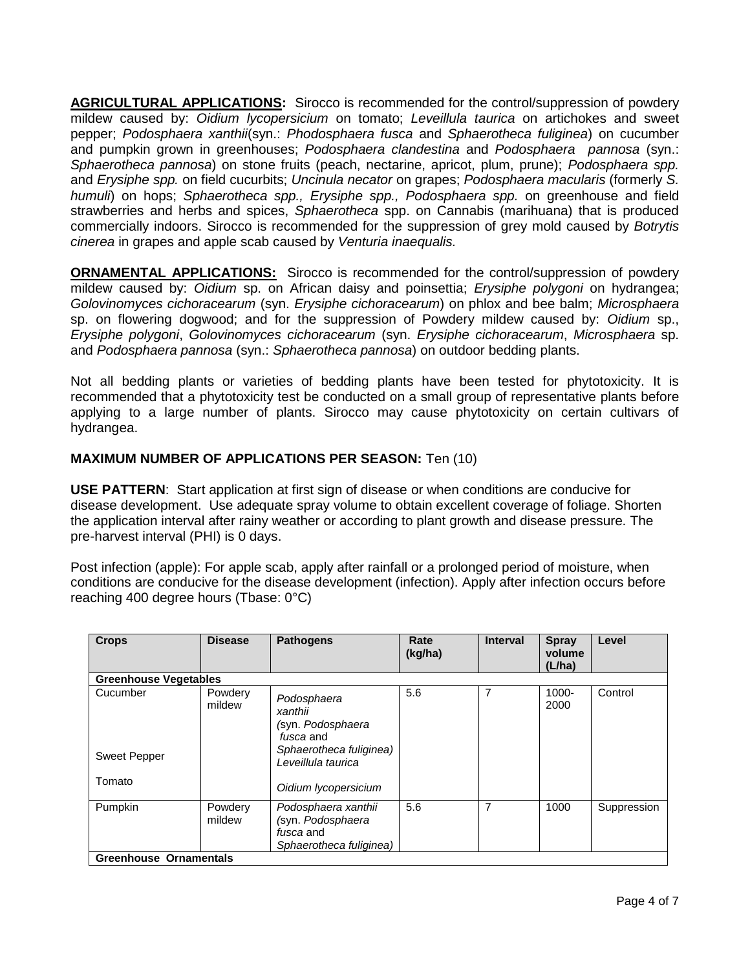**AGRICULTURAL APPLICATIONS:** Sirocco is recommended for the control/suppression of powdery mildew caused by: *Oidium lycopersicium* on tomato; *Leveillula taurica* on artichokes and sweet pepper; *Podosphaera xanthii*(syn.: *Phodosphaera fusca* and *Sphaerotheca fuliginea*) on cucumber and pumpkin grown in greenhouses; *Podosphaera clandestina* and *Podosphaera pannosa* (syn.: *Sphaerotheca pannosa*) on stone fruits (peach, nectarine, apricot, plum, prune); *Podosphaera spp.*  and *Erysiphe spp.* on field cucurbits; *Uncinula necator* on grapes; *Podosphaera macularis* (formerly *S. humuli*) on hops; *Sphaerotheca spp., Erysiphe spp., Podosphaera spp.* on greenhouse and field strawberries and herbs and spices, *Sphaerotheca* spp. on Cannabis (marihuana) that is produced commercially indoors. Sirocco is recommended for the suppression of grey mold caused by *Botrytis cinerea* in grapes and apple scab caused by *Venturia inaequalis.*

**ORNAMENTAL APPLICATIONS:** Sirocco is recommended for the control/suppression of powdery mildew caused by: *Oidium* sp. on African daisy and poinsettia; *Erysiphe polygoni* on hydrangea; *Golovinomyces cichoracearum* (syn. *Erysiphe cichoracearum*) on phlox and bee balm; *Microsphaera*  sp. on flowering dogwood; and for the suppression of Powdery mildew caused by: *Oidium* sp., *Erysiphe polygoni*, *Golovinomyces cichoracearum* (syn. *Erysiphe cichoracearum*, *Microsphaera* sp. and *Podosphaera pannosa* (syn.: *Sphaerotheca pannosa*) on outdoor bedding plants.

Not all bedding plants or varieties of bedding plants have been tested for phytotoxicity. It is recommended that a phytotoxicity test be conducted on a small group of representative plants before applying to a large number of plants. Sirocco may cause phytotoxicity on certain cultivars of hydrangea.

### **MAXIMUM NUMBER OF APPLICATIONS PER SEASON:** Ten (10)

**USE PATTERN**: Start application at first sign of disease or when conditions are conducive for disease development. Use adequate spray volume to obtain excellent coverage of foliage. Shorten the application interval after rainy weather or according to plant growth and disease pressure. The pre-harvest interval (PHI) is 0 days.

Post infection (apple): For apple scab, apply after rainfall or a prolonged period of moisture, when conditions are conducive for the disease development (infection). Apply after infection occurs before reaching 400 degree hours (Tbase: 0°C)

| <b>Crops</b>                    | <b>Disease</b>    | <b>Pathogens</b>                                                                                          | Rate<br>(kg/ha) | <b>Interval</b> | <b>Spray</b><br>volume<br>(L/ha) | Level       |  |
|---------------------------------|-------------------|-----------------------------------------------------------------------------------------------------------|-----------------|-----------------|----------------------------------|-------------|--|
| <b>Greenhouse Vegetables</b>    |                   |                                                                                                           |                 |                 |                                  |             |  |
| Cucumber<br><b>Sweet Pepper</b> | Powdery<br>mildew | Podosphaera<br>xanthii<br>(syn. Podosphaera<br>fusca and<br>Sphaerotheca fuliginea)<br>Leveillula taurica | 5.6             | 7               | $1000 -$<br>2000                 | Control     |  |
| Tomato                          |                   | Oidium lycopersicium                                                                                      |                 |                 |                                  |             |  |
| Pumpkin                         | Powdery<br>mildew | Podosphaera xanthii<br>(syn. Podosphaera<br><i>fusca</i> and<br>Sphaerotheca fuliginea)                   | 5.6             | 7               | 1000                             | Suppression |  |
| <b>Greenhouse Ornamentals</b>   |                   |                                                                                                           |                 |                 |                                  |             |  |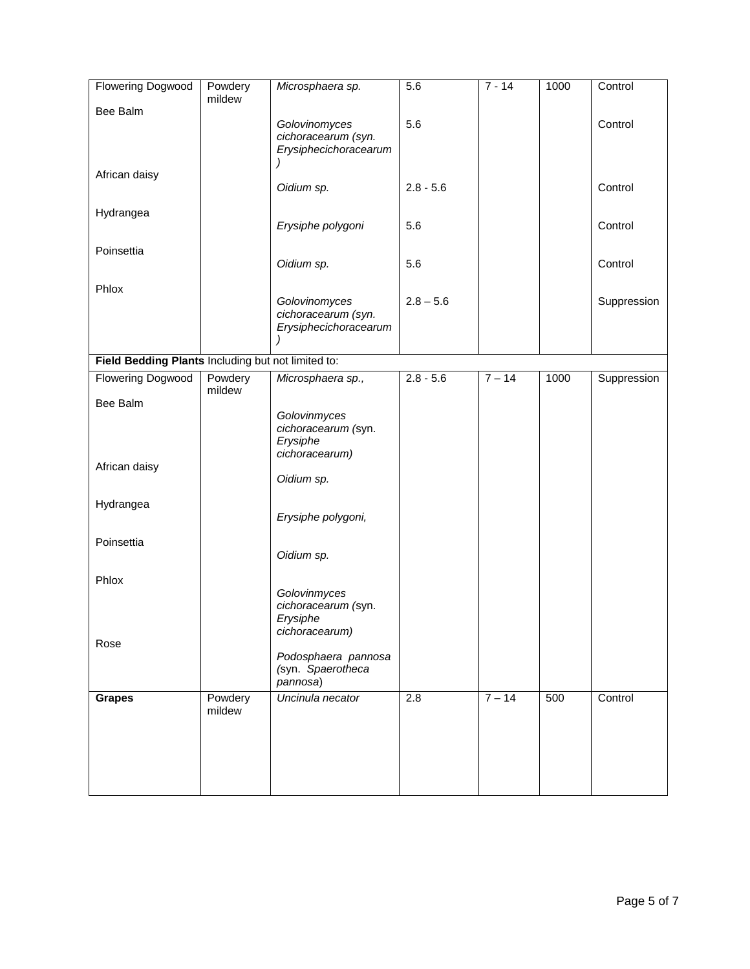| <b>Flowering Dogwood</b>                           | Powdery<br>mildew | Microsphaera sp.                                                  | 5.6              | $7 - 14$ | 1000 | Control     |
|----------------------------------------------------|-------------------|-------------------------------------------------------------------|------------------|----------|------|-------------|
| Bee Balm                                           |                   | Golovinomyces<br>cichoracearum (syn.<br>Erysiphecichoracearum     | 5.6              |          |      | Control     |
| African daisy                                      |                   | Oidium sp.                                                        | $2.8 - 5.6$      |          |      | Control     |
| Hydrangea                                          |                   | Erysiphe polygoni                                                 | 5.6              |          |      | Control     |
| Poinsettia                                         |                   | Oidium sp.                                                        | 5.6              |          |      | Control     |
| Phlox                                              |                   | Golovinomyces<br>cichoracearum (syn.<br>Erysiphecichoracearum     | $2.8 - 5.6$      |          |      | Suppression |
| Field Bedding Plants Including but not limited to: |                   |                                                                   |                  |          |      |             |
| <b>Flowering Dogwood</b>                           | Powdery<br>mildew | Microsphaera sp.,                                                 | $2.8 - 5.6$      | $7 - 14$ | 1000 | Suppression |
| Bee Balm                                           |                   |                                                                   |                  |          |      |             |
| African daisy                                      |                   | Golovinmyces<br>cichoracearum (syn.<br>Erysiphe<br>cichoracearum) |                  |          |      |             |
| Hydrangea                                          |                   | Oidium sp.<br>Erysiphe polygoni,                                  |                  |          |      |             |
| Poinsettia                                         |                   | Oidium sp.                                                        |                  |          |      |             |
| Phlox                                              |                   | Golovinmyces<br>cichoracearum (syn.<br>Erysiphe<br>cichoracearum) |                  |          |      |             |
| Rose                                               |                   | Podosphaera pannosa<br>(syn. Spaerotheca<br>pannosa)              |                  |          |      |             |
| <b>Grapes</b>                                      | Powdery<br>mildew | Uncinula necator                                                  | $\overline{2.8}$ | $7 - 14$ | 500  | Control     |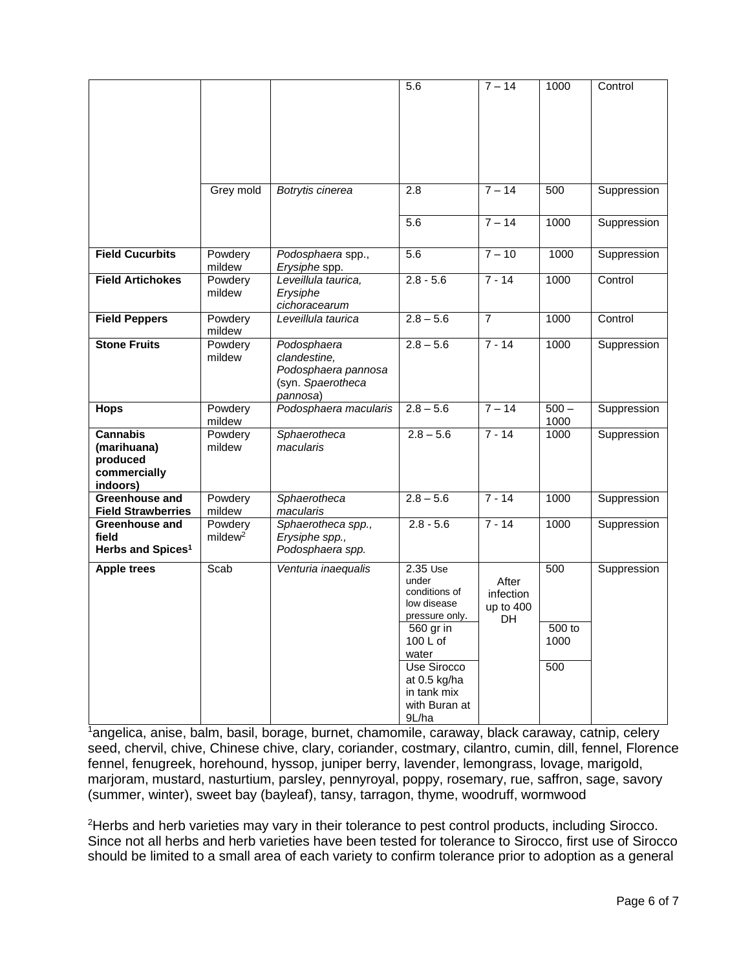|                                                                        |                                   |                                                                                     | 5.6                                                                                                                                                                           | $7 - 14$                              | 1000                         | Control     |
|------------------------------------------------------------------------|-----------------------------------|-------------------------------------------------------------------------------------|-------------------------------------------------------------------------------------------------------------------------------------------------------------------------------|---------------------------------------|------------------------------|-------------|
|                                                                        | Grey mold                         | Botrytis cinerea                                                                    | 2.8                                                                                                                                                                           | $7 - 14$                              | 500                          | Suppression |
|                                                                        |                                   |                                                                                     | 5.6                                                                                                                                                                           | $7 - 14$                              | 1000                         | Suppression |
| <b>Field Cucurbits</b>                                                 | Powdery<br>mildew                 | Podosphaera spp.,<br>Erysiphe spp.                                                  | 5.6                                                                                                                                                                           | $7 - 10$                              | 1000                         | Suppression |
| <b>Field Artichokes</b>                                                | Powdery<br>mildew                 | Leveillula taurica,<br>Erysiphe<br>cichoracearum                                    | $2.8 - 5.6$                                                                                                                                                                   | $7 - 14$                              | 1000                         | Control     |
| <b>Field Peppers</b>                                                   | Powdery<br>mildew                 | Leveillula taurica                                                                  | $2.8 - 5.6$                                                                                                                                                                   | $\overline{7}$                        | 1000                         | Control     |
| <b>Stone Fruits</b>                                                    | Powdery<br>mildew                 | Podosphaera<br>clandestine,<br>Podosphaera pannosa<br>(syn. Spaerotheca<br>pannosa) | $2.8 - 5.6$                                                                                                                                                                   | $7 - 14$                              | 1000                         | Suppression |
| <b>Hops</b>                                                            | Powdery<br>mildew                 | Podosphaera macularis                                                               | $2.8 - 5.6$                                                                                                                                                                   | $7 - 14$                              | $500 -$<br>1000              | Suppression |
| <b>Cannabis</b><br>(marihuana)<br>produced<br>commercially<br>indoors) | Powdery<br>mildew                 | Sphaerotheca<br>macularis                                                           | $2.8 - 5.6$                                                                                                                                                                   | $7 - 14$                              | 1000                         | Suppression |
| Greenhouse and<br><b>Field Strawberries</b>                            | Powdery<br>mildew                 | Sphaerotheca<br>macularis                                                           | $2.8 - 5.6$                                                                                                                                                                   | $7 - 14$                              | 1000                         | Suppression |
| Greenhouse and<br>field<br>Herbs and Spices <sup>1</sup>               | Powdery<br>$m$ ildew <sup>2</sup> | Sphaerotheca spp.,<br>Erysiphe spp.,<br>Podosphaera spp.                            | $2.8 - 5.6$                                                                                                                                                                   | $7 - 14$                              | 1000                         | Suppression |
| <b>Apple trees</b>                                                     | Scab                              | Venturia inaequalis                                                                 | 2.35 Use<br>under<br>conditions of<br>low disease<br>pressure only.<br>560 gr in<br>100 L of<br>water<br>Use Sirocco<br>at 0.5 kg/ha<br>in tank mix<br>with Buran at<br>9L/ha | After<br>infection<br>up to 400<br>DH | 500<br>500 to<br>1000<br>500 | Suppression |

 $\frac{1}{4}$ angelica, anise, balm, basil, borage, burnet, chamomile, caraway, black caraway, catnip, celery seed, chervil, chive, Chinese chive, clary, coriander, costmary, cilantro, cumin, dill, fennel, Florence fennel, fenugreek, horehound, hyssop, juniper berry, lavender, lemongrass, lovage, marigold, marjoram, mustard, nasturtium, parsley, pennyroyal, poppy, rosemary, rue, saffron, sage, savory (summer, winter), sweet bay (bayleaf), tansy, tarragon, thyme, woodruff, wormwood

<sup>2</sup>Herbs and herb varieties may vary in their tolerance to pest control products, including Sirocco. Since not all herbs and herb varieties have been tested for tolerance to Sirocco, first use of Sirocco should be limited to a small area of each variety to confirm tolerance prior to adoption as a general